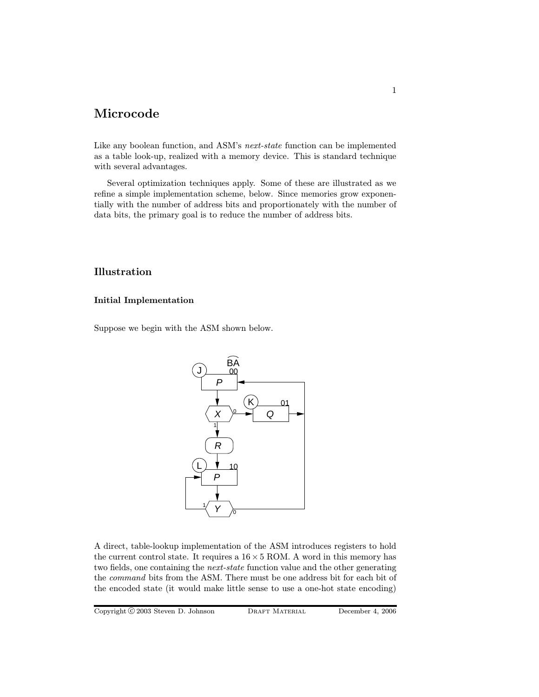# Microcode

Like any boolean function, and ASM's next-state function can be implemented as a table look-up, realized with a memory device. This is standard technique with several advantages.

Several optimization techniques apply. Some of these are illustrated as we refine a simple implementation scheme, below. Since memories grow exponentially with the number of address bits and proportionately with the number of data bits, the primary goal is to reduce the number of address bits.

## Illustration

### Initial Implementation

Suppose we begin with the ASM shown below.



A direct, table-lookup implementation of the ASM introduces registers to hold the current control state. It requires a  $16 \times 5$  ROM. A word in this memory has two fields, one containing the next-state function value and the other generating the command bits from the ASM. There must be one address bit for each bit of the encoded state (it would make little sense to use a one-hot state encoding)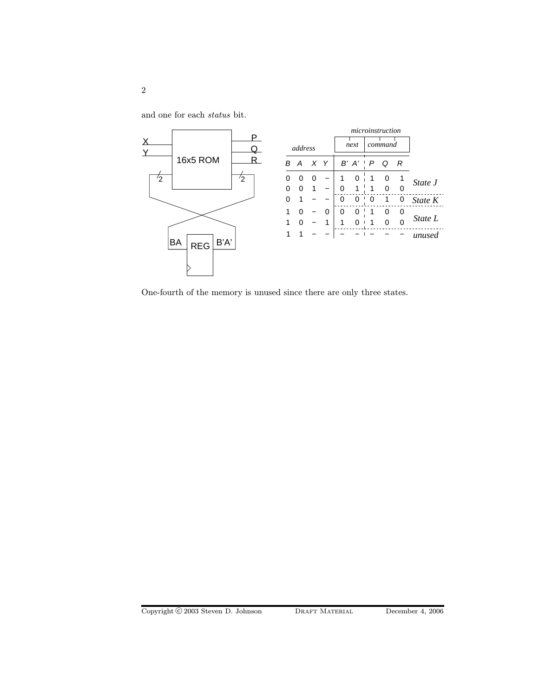and one for each status bit.



One-fourth of the memory is unused since there are only three states.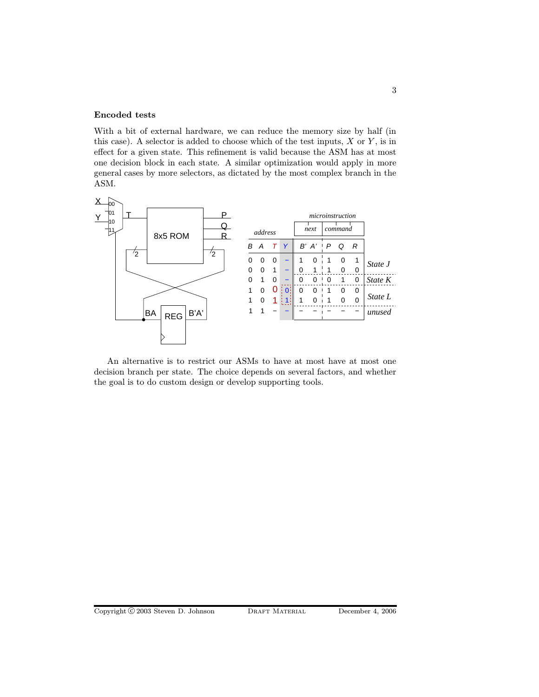#### Encoded tests

With a bit of external hardware, we can reduce the memory size by half (in this case). A selector is added to choose which of the test inputs,  $X$  or  $Y$ , is in effect for a given state. This refinement is valid because the ASM has at most one decision block in each state. A similar optimization would apply in more general cases by more selectors, as dictated by the most complex branch in the ASM.



An alternative is to restrict our ASMs to have at most have at most one decision branch per state. The choice depends on several factors, and whether the goal is to do custom design or develop supporting tools.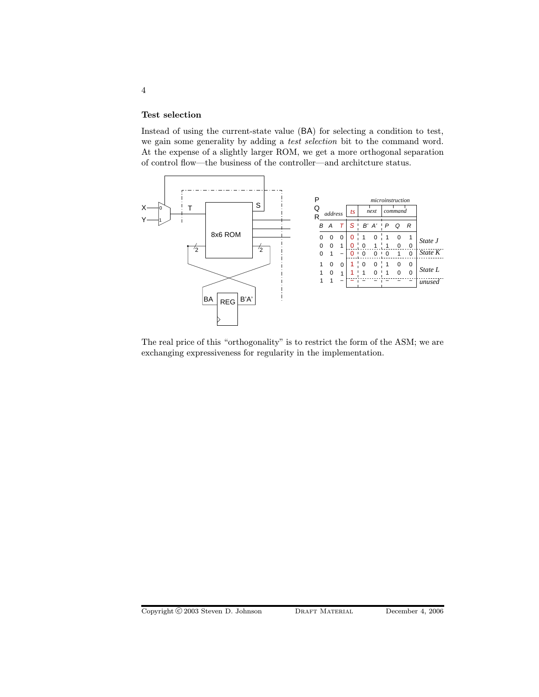#### Test selection

Instead of using the current-state value (BA) for selecting a condition to test, we gain some generality by adding a test selection bit to the command word. At the expense of a slightly larger ROM, we get a more orthogonal separation of control flow—the business of the controller—and architcture status.



The real price of this "orthogonality" is to restrict the form of the ASM; we are exchanging expressiveness for regularity in the implementation.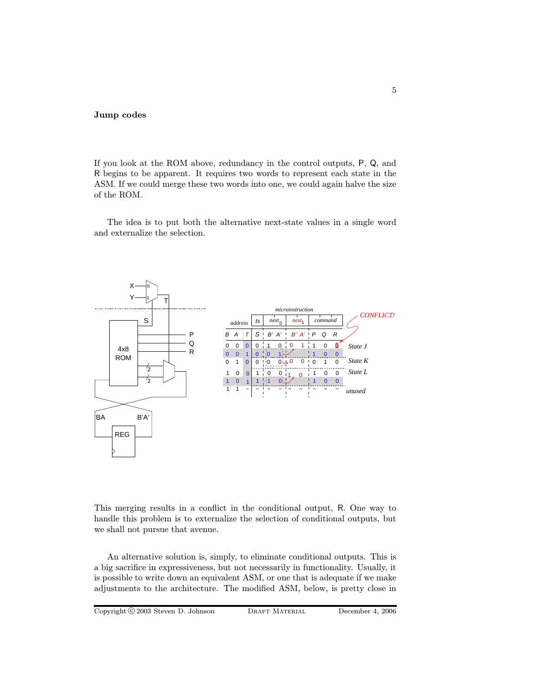#### Jump codes

If you look at the ROM above, redundancy in the control outputs, P, Q, and R begins to be apparent. It requires two words to represent each state in the ASM. If we could merge these two words into one, we could again halve the size of the ROM.

The idea is to put both the alternative next-state values in a single word and externalize the selection.



This merging results in a conflict in the conditional output, R. One way to handle this problem is to externalize the selection of conditional outputs, but we shall not pursue that avenue.

An alternative solution is, simply, to eliminate conditional outputs. This is a big sacrifice in expressiveness, but not necessarily in functionality. Usually, it is possible to write down an equivalent ASM, or one that is adequate if we make adjustments to the architecture. The modified ASM, below, is pretty close in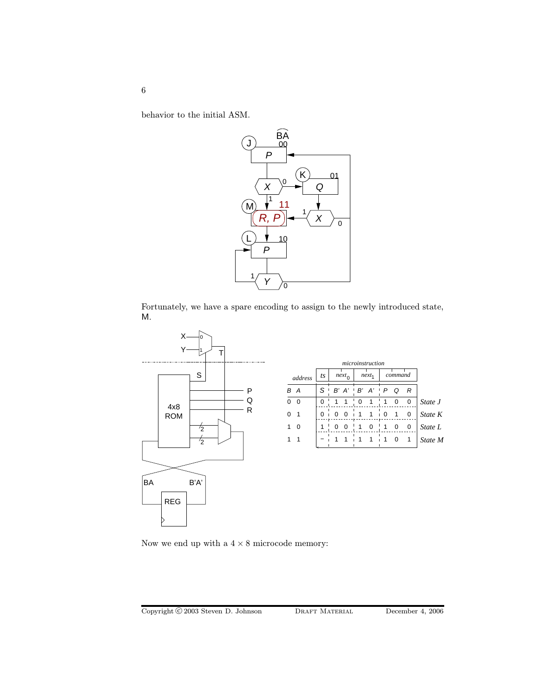behavior to the initial ASM.



Fortunately, we have a spare encoding to assign to the newly introduced state, M.



Now we end up with a  $4\times 8$  microcode memory:

6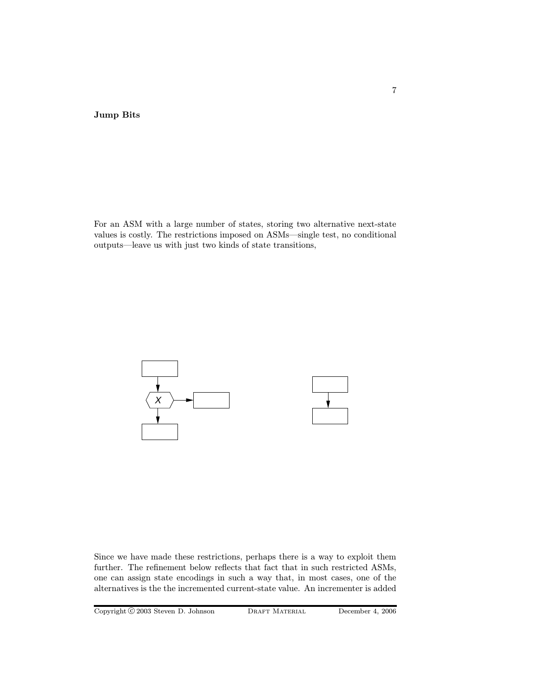Jump Bits

For an ASM with a large number of states, storing two alternative next-state values is costly. The restrictions imposed on ASMs—single test, no conditional outputs—leave us with just two kinds of state transitions,



Since we have made these restrictions, perhaps there is a way to exploit them further. The refinement below reflects that fact that in such restricted ASMs, one can assign state encodings in such a way that, in most cases, one of the alternatives is the the incremented current-state value. An incrementer is added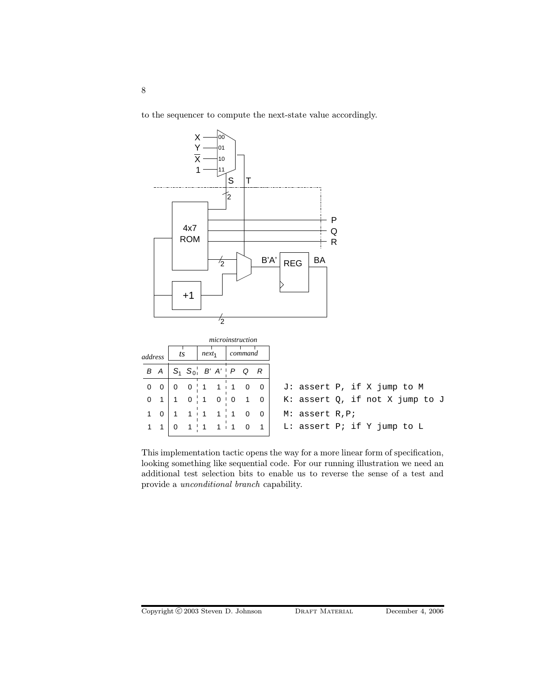to the sequencer to compute the next-state value accordingly.



This implementation tactic opens the way for a more linear form of specification, looking something like sequential code. For our running illustration we need an additional test selection bits to enable us to reverse the sense of a test and provide a unconditional branch capability.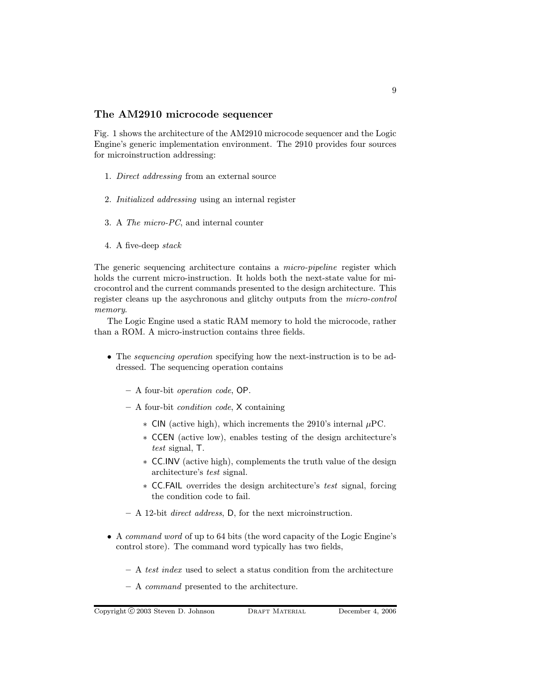#### The AM2910 microcode sequencer

Fig. 1 shows the architecture of the AM2910 microcode sequencer and the Logic Engine's generic implementation environment. The 2910 provides four sources for microinstruction addressing:

- 1. Direct addressing from an external source
- 2. Initialized addressing using an internal register
- 3. A The micro-PC, and internal counter
- 4. A five-deep stack

The generic sequencing architecture contains a *micro-pipeline* register which holds the current micro-instruction. It holds both the next-state value for microcontrol and the current commands presented to the design architecture. This register cleans up the asychronous and glitchy outputs from the micro-control memory.

The Logic Engine used a static RAM memory to hold the microcode, rather than a ROM. A micro-instruction contains three fields.

- The *sequencing operation* specifying how the next-instruction is to be addressed. The sequencing operation contains
	- A four-bit operation code, OP.
	- A four-bit condition code, X containing
		- ∗ CIN (active high), which increments the 2910's internal µPC.
		- ∗ CCEN (active low), enables testing of the design architecture's test signal, T.
		- ∗ CC.INV (active high), complements the truth value of the design architecture's test signal.
		- ∗ CC.FAIL overrides the design architecture's test signal, forcing the condition code to fail.
	- A 12-bit direct address, D, for the next microinstruction.
- A command word of up to 64 bits (the word capacity of the Logic Engine's control store). The command word typically has two fields,
	- A test index used to select a status condition from the architecture
	- A command presented to the architecture.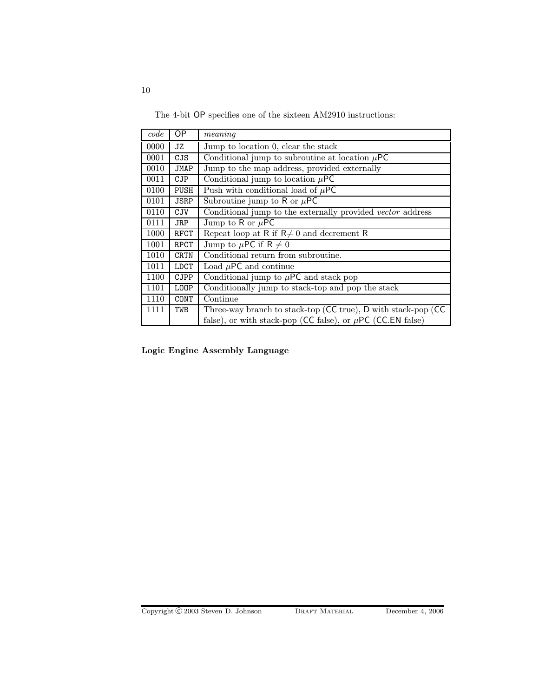The 4-bit OP specifies one of the sixteen AM2910 instructions:

| code | ОP          | meaning                                                         |
|------|-------------|-----------------------------------------------------------------|
| 0000 | JZ          | Jump to location 0, clear the stack                             |
| 0001 | CJS         | Conditional jump to subroutine at location $\mu$ PC             |
| 0010 | JMAP        | Jump to the map address, provided externally                    |
| 0011 | CJP         | Conditional jump to location $\mu$ PC                           |
| 0100 | PUSH        | Push with conditional load of $\mu$ PC                          |
| 0101 | <b>JSRP</b> | Subroutine jump to R or $\mu$ PC                                |
| 0110 | <b>CJV</b>  | Conditional jump to the externally provided vector address      |
| 0111 | JRP         | Jump to R or $\mu$ PC                                           |
| 1000 | RFCT        | Repeat loop at R if $R \neq 0$ and decrement R                  |
| 1001 | <b>RPCT</b> | Jump to $\mu$ PC if R $\neq$ 0                                  |
| 1010 | CRTN        | Conditional return from subroutine.                             |
| 1011 | LDCT        | Load $\mu$ PC and continue                                      |
| 1100 | CJPP        | Conditional jump to $\mu$ PC and stack pop                      |
| 1101 | L00P        | Conditionally jump to stack-top and pop the stack               |
| 1110 | CONT        | Continue                                                        |
| 1111 | TWB         | Three-way branch to stack-top (CC true), D with stack-pop (CC   |
|      |             | false), or with stack-pop (CC false), or $\mu$ PC (CC.EN false) |

Logic Engine Assembly Language